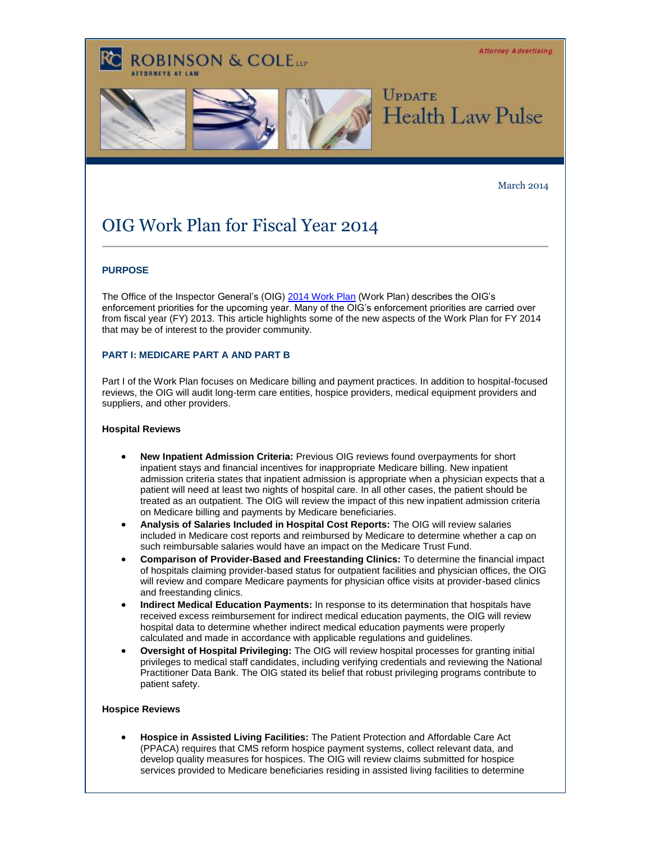**Attorney Advertising** 



### March 2014

# OIG Work Plan for Fiscal Year 2014

**ROBINSON & COLELLE** 

# **PURPOSE**

The Office of the Inspector General's (OIG[\) 2014 Work Plan](http://t2806904.invoc.us/track.aspx?id=402|2AD478|6F10|19C|126|0|171|1|4C3E0FB7&useSmaid=t&useCid=t&destination=http%3a%2f%2foig.hhs.gov%2freports-and-publications%2farchives%2fworkplan%2f2014%2fWork-Plan-2014.pdf&dchk=AD6FD6A) (Work Plan) describes the OIG's enforcement priorities for the upcoming year. Many of the OIG's enforcement priorities are carried over from fiscal year (FY) 2013. This article highlights some of the new aspects of the Work Plan for FY 2014 that may be of interest to the provider community.

## **PART I: MEDICARE PART A AND PART B**

Part I of the Work Plan focuses on Medicare billing and payment practices. In addition to hospital-focused reviews, the OIG will audit long-term care entities, hospice providers, medical equipment providers and suppliers, and other providers.

#### **Hospital Reviews**

- **New Inpatient Admission Criteria:** Previous OIG reviews found overpayments for short inpatient stays and financial incentives for inappropriate Medicare billing. New inpatient admission criteria states that inpatient admission is appropriate when a physician expects that a patient will need at least two nights of hospital care. In all other cases, the patient should be treated as an outpatient. The OIG will review the impact of this new inpatient admission criteria on Medicare billing and payments by Medicare beneficiaries.
- **Analysis of Salaries Included in Hospital Cost Reports:** The OIG will review salaries included in Medicare cost reports and reimbursed by Medicare to determine whether a cap on such reimbursable salaries would have an impact on the Medicare Trust Fund.
- **Comparison of Provider-Based and Freestanding Clinics:** To determine the financial impact of hospitals claiming provider-based status for outpatient facilities and physician offices, the OIG will review and compare Medicare payments for physician office visits at provider-based clinics and freestanding clinics.
- **Indirect Medical Education Payments:** In response to its determination that hospitals have received excess reimbursement for indirect medical education payments, the OIG will review hospital data to determine whether indirect medical education payments were properly calculated and made in accordance with applicable regulations and guidelines.
- **Oversight of Hospital Privileging:** The OIG will review hospital processes for granting initial privileges to medical staff candidates, including verifying credentials and reviewing the National Practitioner Data Bank. The OIG stated its belief that robust privileging programs contribute to patient safety.

#### **Hospice Reviews**

 **Hospice in Assisted Living Facilities:** The Patient Protection and Affordable Care Act (PPACA) requires that CMS reform hospice payment systems, collect relevant data, and develop quality measures for hospices. The OIG will review claims submitted for hospice services provided to Medicare beneficiaries residing in assisted living facilities to determine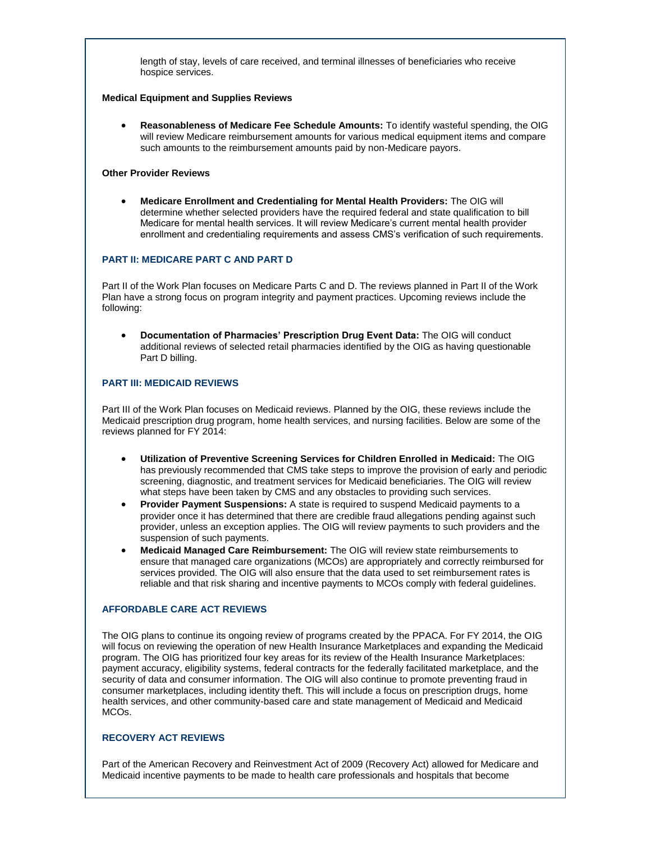length of stay, levels of care received, and terminal illnesses of beneficiaries who receive hospice services.

#### **Medical Equipment and Supplies Reviews**

 **Reasonableness of Medicare Fee Schedule Amounts:** To identify wasteful spending, the OIG will review Medicare reimbursement amounts for various medical equipment items and compare such amounts to the reimbursement amounts paid by non-Medicare payors.

### **Other Provider Reviews**

 **Medicare Enrollment and Credentialing for Mental Health Providers:** The OIG will determine whether selected providers have the required federal and state qualification to bill Medicare for mental health services. It will review Medicare's current mental health provider enrollment and credentialing requirements and assess CMS's verification of such requirements.

## **PART II: MEDICARE PART C AND PART D**

Part II of the Work Plan focuses on Medicare Parts C and D. The reviews planned in Part II of the Work Plan have a strong focus on program integrity and payment practices. Upcoming reviews include the following:

 **Documentation of Pharmacies' Prescription Drug Event Data:** The OIG will conduct additional reviews of selected retail pharmacies identified by the OIG as having questionable Part D billing.

# **PART III: MEDICAID REVIEWS**

Part III of the Work Plan focuses on Medicaid reviews. Planned by the OIG, these reviews include the Medicaid prescription drug program, home health services, and nursing facilities. Below are some of the reviews planned for FY 2014:

- **Utilization of Preventive Screening Services for Children Enrolled in Medicaid:** The OIG has previously recommended that CMS take steps to improve the provision of early and periodic screening, diagnostic, and treatment services for Medicaid beneficiaries. The OIG will review what steps have been taken by CMS and any obstacles to providing such services.
- **Provider Payment Suspensions:** A state is required to suspend Medicaid payments to a provider once it has determined that there are credible fraud allegations pending against such provider, unless an exception applies. The OIG will review payments to such providers and the suspension of such payments.
- **Medicaid Managed Care Reimbursement:** The OIG will review state reimbursements to ensure that managed care organizations (MCOs) are appropriately and correctly reimbursed for services provided. The OIG will also ensure that the data used to set reimbursement rates is reliable and that risk sharing and incentive payments to MCOs comply with federal guidelines.

## **AFFORDABLE CARE ACT REVIEWS**

The OIG plans to continue its ongoing review of programs created by the PPACA. For FY 2014, the OIG will focus on reviewing the operation of new Health Insurance Marketplaces and expanding the Medicaid program. The OIG has prioritized four key areas for its review of the Health Insurance Marketplaces: payment accuracy, eligibility systems, federal contracts for the federally facilitated marketplace, and the security of data and consumer information. The OIG will also continue to promote preventing fraud in consumer marketplaces, including identity theft. This will include a focus on prescription drugs, home health services, and other community-based care and state management of Medicaid and Medicaid MCOs.

## **RECOVERY ACT REVIEWS**

Part of the American Recovery and Reinvestment Act of 2009 (Recovery Act) allowed for Medicare and Medicaid incentive payments to be made to health care professionals and hospitals that become